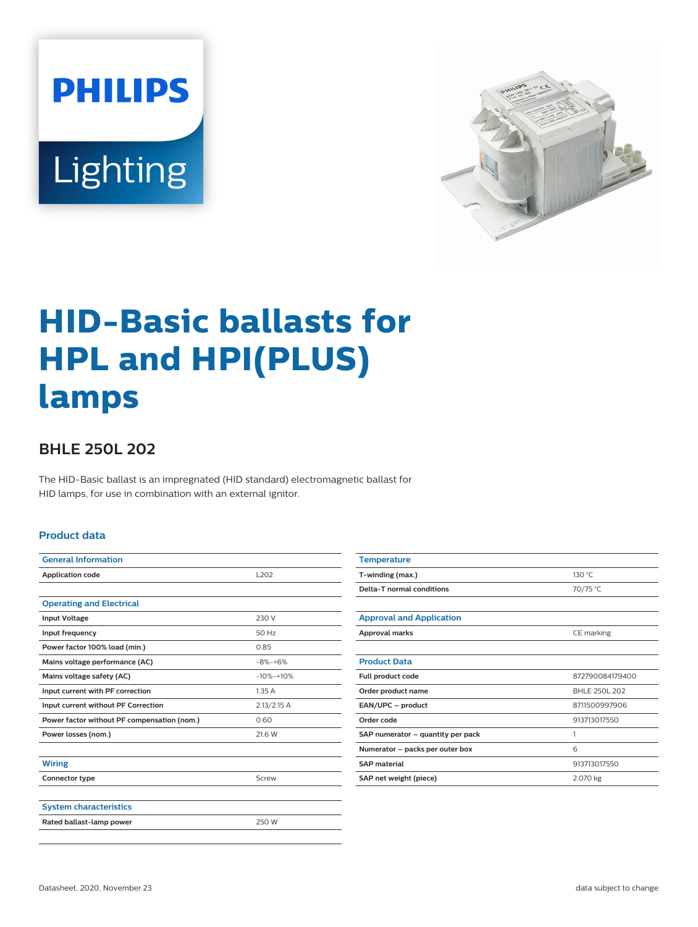



# **HID-Basic ballasts for HPL and HPI(PLUS) lamps**

## **BHLE 250L 202**

The HID-Basic ballast is an impregnated (HID standard) electromagnetic ballast for HID lamps, for use in combination with an external ignitor.

#### **Product data**

| <b>General Information</b>                  |               |  |  |
|---------------------------------------------|---------------|--|--|
| <b>Application code</b>                     | L202          |  |  |
|                                             |               |  |  |
| <b>Operating and Electrical</b>             |               |  |  |
| <b>Input Voltage</b>                        | 230 V         |  |  |
| Input frequency                             | 50 Hz         |  |  |
| Power factor 100% load (min.)               | 0.85          |  |  |
| Mains voltage performance (AC)              | $-8% -+6%$    |  |  |
| Mains voltage safety (AC)                   | $-10% -10%$   |  |  |
| Input current with PF correction            | 1.35A         |  |  |
| Input current without PF Correction         | $2.13/2.15$ A |  |  |
| Power factor without PF compensation (nom.) | 0.60          |  |  |
| Power losses (nom.)                         | 21.6 W        |  |  |
|                                             |               |  |  |
| <b>Wiring</b>                               |               |  |  |
| Connector type                              | Screw         |  |  |
|                                             |               |  |  |
| <b>System characteristics</b>               |               |  |  |
| Rated ballast-lamp power                    | 250 W         |  |  |
|                                             |               |  |  |

| <b>Temperature</b>                |                 |  |  |
|-----------------------------------|-----------------|--|--|
| T-winding (max.)                  | 130 °C          |  |  |
| Delta-T normal conditions         | 70/75 °C        |  |  |
|                                   |                 |  |  |
| <b>Approval and Application</b>   |                 |  |  |
| Approval marks                    | CE marking      |  |  |
|                                   |                 |  |  |
| <b>Product Data</b>               |                 |  |  |
| Full product code                 | 872790084179400 |  |  |
| Order product name                | BHLE 250L 202   |  |  |
| EAN/UPC - product                 | 8711500997906   |  |  |
| Order code                        | 913713017550    |  |  |
| SAP numerator - quantity per pack | 1               |  |  |
| Numerator - packs per outer box   | 6               |  |  |
| <b>SAP</b> material               | 913713017550    |  |  |
| SAP net weight (piece)            | 2.070 kg        |  |  |
|                                   |                 |  |  |